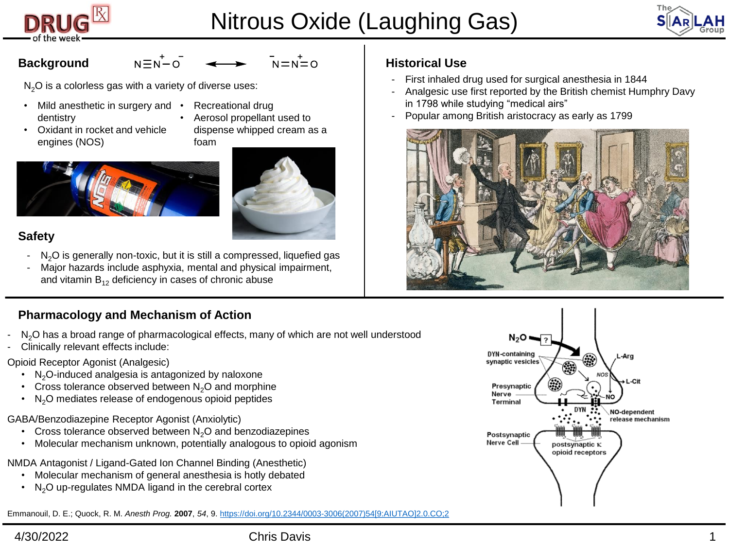

# Nitrous Oxide (Laughing Gas)



# **Background**

 $N = N = 0$ 

 $N<sub>2</sub>O$  is a colorless gas with a variety of diverse uses:

 $N \equiv N - O$ 

- Mild anesthetic in surgery and dentistry
	- Recreational drug
- Oxidant in rocket and vehicle engines (NOS)
- Aerosol propellant used to dispense whipped cream as a foam





# **Safety**

- $N<sub>2</sub>O$  is generally non-toxic, but it is still a compressed, liquefied gas
- Major hazards include asphyxia, mental and physical impairment, and vitamin  $B_{12}$  deficiency in cases of chronic abuse

# **Pharmacology and Mechanism of Action**

- N<sub>2</sub>O has a broad range of pharmacological effects, many of which are not well understood
- Clinically relevant effects include:

## Opioid Receptor Agonist (Analgesic)

- $N_2O$ -induced analgesia is antagonized by naloxone
- Cross tolerance observed between  $N<sub>2</sub>O$  and morphine
- $\cdot$  N<sub>2</sub>O mediates release of endogenous opioid peptides
- GABA/Benzodiazepine Receptor Agonist (Anxiolytic)
	- Cross tolerance observed between  $N<sub>2</sub>O$  and benzodiazepines
	- Molecular mechanism unknown, potentially analogous to opioid agonism

NMDA Antagonist / Ligand-Gated Ion Channel Binding (Anesthetic)

- Molecular mechanism of general anesthesia is hotly debated
- N<sub>2</sub>O up-regulates NMDA ligand in the cerebral cortex

Emmanouil, D. E.; Quock, R. M. *Anesth Prog.* **2007**, *54*, 9. [https://doi.org/10.2344/0003-3006\(2007\)54\[9:AIUTAO\]2.0.CO;2](https://doi.org/10.2344/0003-3006(2007)54%5b9:AIUTAO%5d2.0.CO;2)

# **Historical Use**

- First inhaled drug used for surgical anesthesia in 1844
- Analgesic use first reported by the British chemist Humphry Davy in 1798 while studying "medical airs"
- Popular among British aristocracy as early as 1799